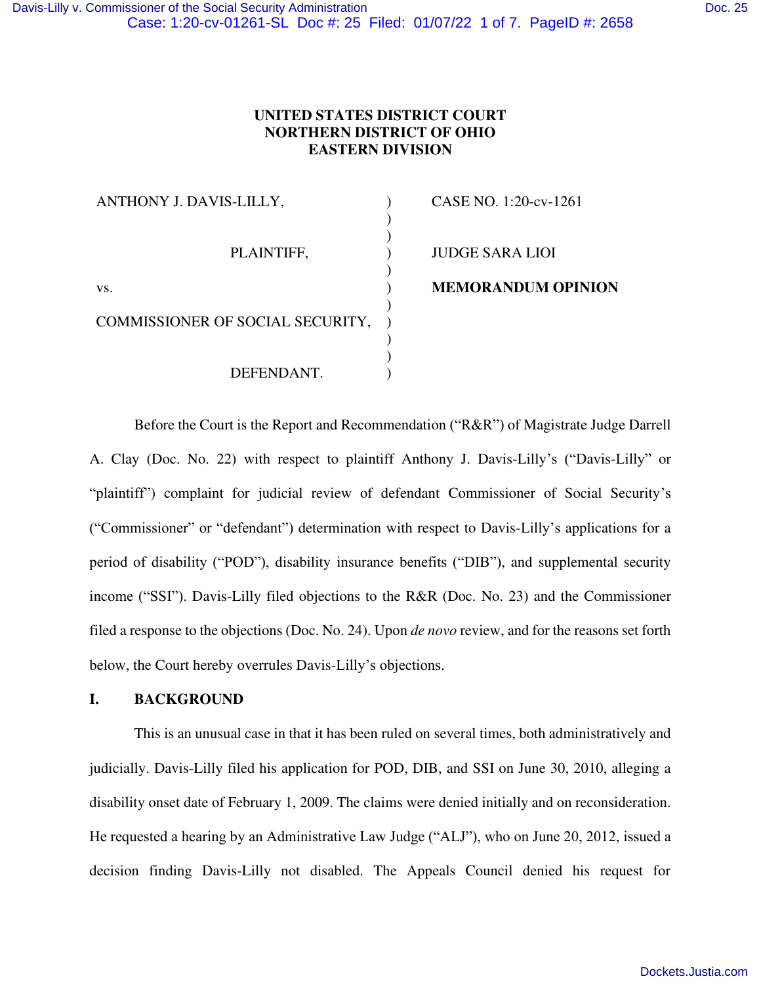## **UNITED STATES DISTRICT COURT NORTHERN DISTRICT OF OHIO EASTERN DIVISION**

| ANTHONY J. DAVIS-LILLY,          | CASE NO. 1:20-cv-1261     |
|----------------------------------|---------------------------|
|                                  |                           |
| PLAINTIFF,                       | <b>JUDGE SARA LIOI</b>    |
| VS.                              | <b>MEMORANDUM OPINION</b> |
| COMMISSIONER OF SOCIAL SECURITY, |                           |
|                                  |                           |
|                                  |                           |
| DEFENDANT.                       |                           |

Before the Court is the Report and Recommendation ("R&R") of Magistrate Judge Darrell A. Clay (Doc. No. 22) with respect to plaintiff Anthony J. Davis-Lilly's ("Davis-Lilly" or "plaintiff") complaint for judicial review of defendant Commissioner of Social Security's ("Commissioner" or "defendant") determination with respect to Davis-Lilly's applications for a period of disability ("POD"), disability insurance benefits ("DIB"), and supplemental security income ("SSI"). Davis-Lilly filed objections to the R&R (Doc. No. 23) and the Commissioner filed a response to the objections (Doc. No. 24). Upon *de novo* review, and for the reasons set forth below, the Court hereby overrules Davis-Lilly's objections.

### **I. BACKGROUND**

This is an unusual case in that it has been ruled on several times, both administratively and judicially. Davis-Lilly filed his application for POD, DIB, and SSI on June 30, 2010, alleging a disability onset date of February 1, 2009. The claims were denied initially and on reconsideration. He requested a hearing by an Administrative Law Judge ("ALJ"), who on June 20, 2012, issued a decision finding Davis-Lilly not disabled. The Appeals Council denied his request for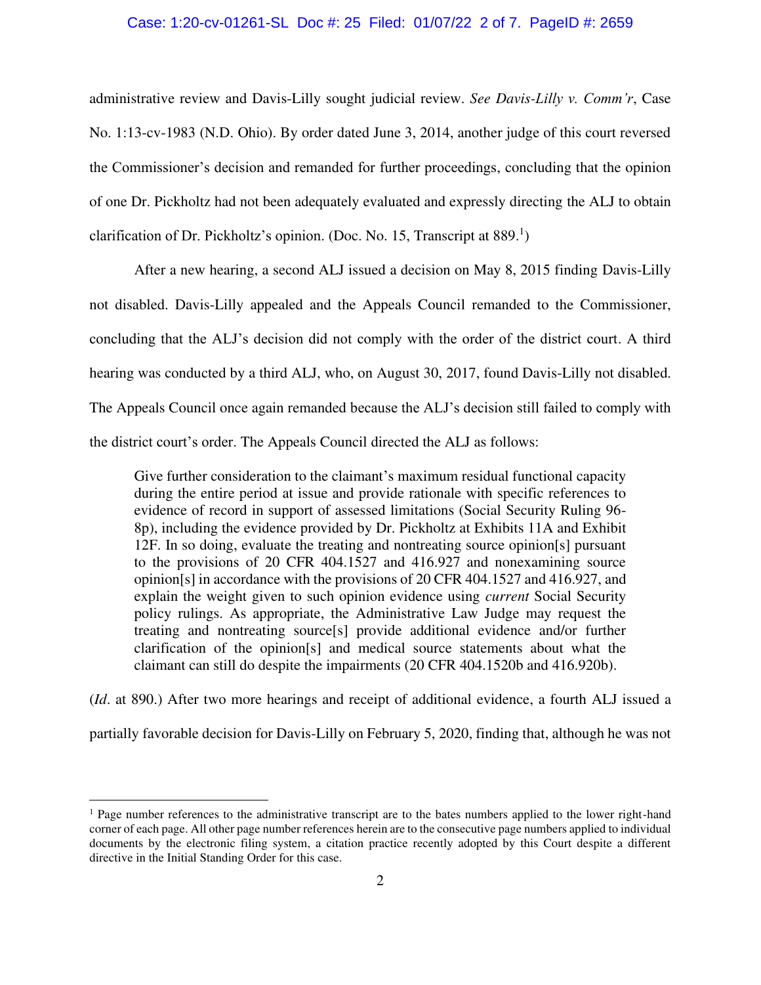#### Case: 1:20-cv-01261-SL Doc #: 25 Filed: 01/07/22 2 of 7. PageID #: 2659

administrative review and Davis-Lilly sought judicial review. *See Davis-Lilly v. Comm'r*, Case No. 1:13-cv-1983 (N.D. Ohio). By order dated June 3, 2014, another judge of this court reversed the Commissioner's decision and remanded for further proceedings, concluding that the opinion of one Dr. Pickholtz had not been adequately evaluated and expressly directing the ALJ to obtain clarification of Dr. Pickholtz's opinion. (Doc. No. 15, Transcript at 889.<sup>1</sup>)

After a new hearing, a second ALJ issued a decision on May 8, 2015 finding Davis-Lilly not disabled. Davis-Lilly appealed and the Appeals Council remanded to the Commissioner, concluding that the ALJ's decision did not comply with the order of the district court. A third hearing was conducted by a third ALJ, who, on August 30, 2017, found Davis-Lilly not disabled. The Appeals Council once again remanded because the ALJ's decision still failed to comply with the district court's order. The Appeals Council directed the ALJ as follows:

Give further consideration to the claimant's maximum residual functional capacity during the entire period at issue and provide rationale with specific references to evidence of record in support of assessed limitations (Social Security Ruling 96- 8p), including the evidence provided by Dr. Pickholtz at Exhibits 11A and Exhibit 12F. In so doing, evaluate the treating and nontreating source opinion[s] pursuant to the provisions of 20 CFR 404.1527 and 416.927 and nonexamining source opinion[s] in accordance with the provisions of 20 CFR 404.1527 and 416.927, and explain the weight given to such opinion evidence using *current* Social Security policy rulings. As appropriate, the Administrative Law Judge may request the treating and nontreating source[s] provide additional evidence and/or further clarification of the opinion[s] and medical source statements about what the claimant can still do despite the impairments (20 CFR 404.1520b and 416.920b).

(*Id*. at 890.) After two more hearings and receipt of additional evidence, a fourth ALJ issued a partially favorable decision for Davis-Lilly on February 5, 2020, finding that, although he was not

<sup>&</sup>lt;sup>1</sup> Page number references to the administrative transcript are to the bates numbers applied to the lower right-hand corner of each page. All other page number references herein are to the consecutive page numbers applied to individual documents by the electronic filing system, a citation practice recently adopted by this Court despite a different directive in the Initial Standing Order for this case.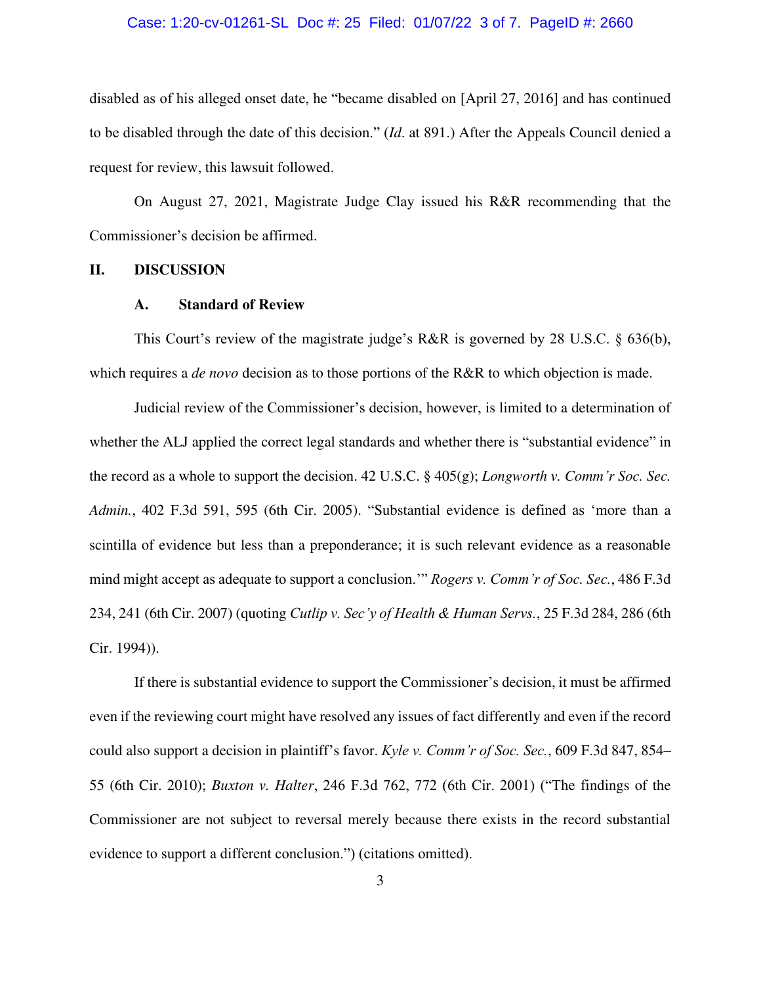#### Case: 1:20-cv-01261-SL Doc #: 25 Filed: 01/07/22 3 of 7. PageID #: 2660

disabled as of his alleged onset date, he "became disabled on [April 27, 2016] and has continued to be disabled through the date of this decision." (*Id*. at 891.) After the Appeals Council denied a request for review, this lawsuit followed.

On August 27, 2021, Magistrate Judge Clay issued his R&R recommending that the Commissioner's decision be affirmed.

#### **II. DISCUSSION**

#### **A. Standard of Review**

This Court's review of the magistrate judge's R&R is governed by 28 U.S.C. § 636(b), which requires a *de novo* decision as to those portions of the R&R to which objection is made.

Judicial review of the Commissioner's decision, however, is limited to a determination of whether the ALJ applied the correct legal standards and whether there is "substantial evidence" in the record as a whole to support the decision. 42 U.S.C. § 405(g); *Longworth v. Comm'r Soc. Sec. Admin.*, 402 F.3d 591, 595 (6th Cir. 2005). "Substantial evidence is defined as 'more than a scintilla of evidence but less than a preponderance; it is such relevant evidence as a reasonable mind might accept as adequate to support a conclusion.'" *Rogers v. Comm'r of Soc. Sec.*, 486 F.3d 234, 241 (6th Cir. 2007) (quoting *Cutlip v. Sec'y of Health & Human Servs.*, 25 F.3d 284, 286 (6th Cir. 1994)).

If there is substantial evidence to support the Commissioner's decision, it must be affirmed even if the reviewing court might have resolved any issues of fact differently and even if the record could also support a decision in plaintiff's favor. *Kyle v. Comm'r of Soc. Sec.*, 609 F.3d 847, 854– 55 (6th Cir. 2010); *Buxton v. Halter*, 246 F.3d 762, 772 (6th Cir. 2001) ("The findings of the Commissioner are not subject to reversal merely because there exists in the record substantial evidence to support a different conclusion.") (citations omitted).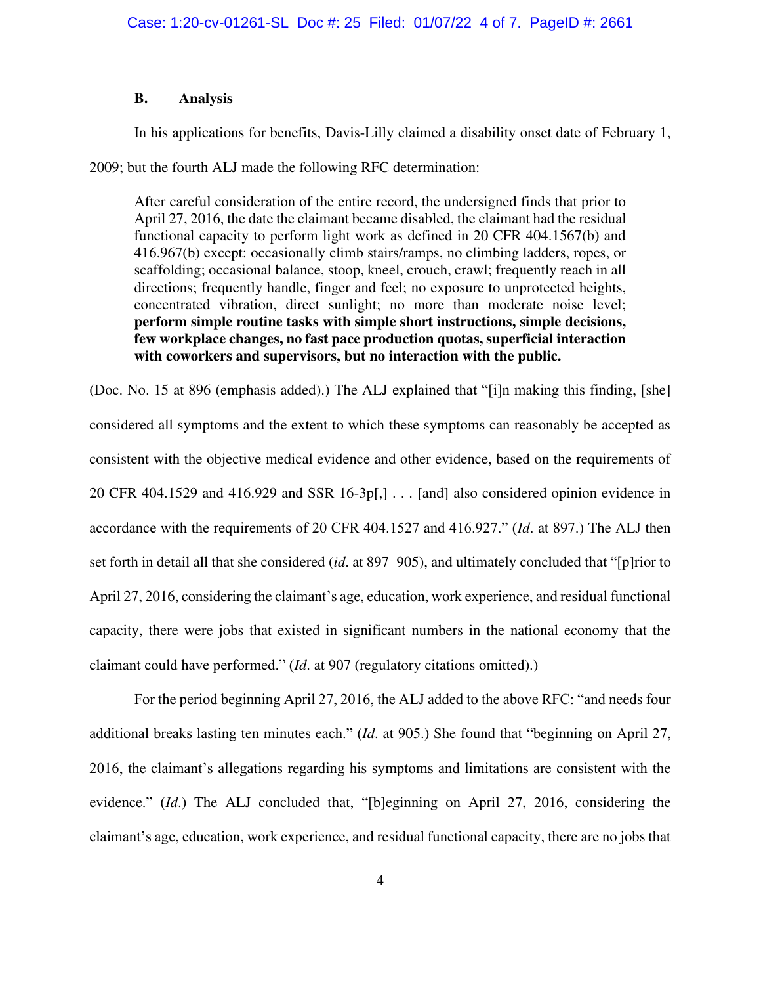#### **B. Analysis**

In his applications for benefits, Davis-Lilly claimed a disability onset date of February 1,

2009; but the fourth ALJ made the following RFC determination:

After careful consideration of the entire record, the undersigned finds that prior to April 27, 2016, the date the claimant became disabled, the claimant had the residual functional capacity to perform light work as defined in 20 CFR 404.1567(b) and 416.967(b) except: occasionally climb stairs/ramps, no climbing ladders, ropes, or scaffolding; occasional balance, stoop, kneel, crouch, crawl; frequently reach in all directions; frequently handle, finger and feel; no exposure to unprotected heights, concentrated vibration, direct sunlight; no more than moderate noise level; **perform simple routine tasks with simple short instructions, simple decisions, few workplace changes, no fast pace production quotas, superficial interaction with coworkers and supervisors, but no interaction with the public.** 

(Doc. No. 15 at 896 (emphasis added).) The ALJ explained that "[i]n making this finding, [she] considered all symptoms and the extent to which these symptoms can reasonably be accepted as consistent with the objective medical evidence and other evidence, based on the requirements of 20 CFR 404.1529 and 416.929 and SSR 16-3p[,] . . . [and] also considered opinion evidence in accordance with the requirements of 20 CFR 404.1527 and 416.927." (*Id*. at 897.) The ALJ then set forth in detail all that she considered (*id*. at 897–905), and ultimately concluded that "[p]rior to April 27, 2016, considering the claimant's age, education, work experience, and residual functional capacity, there were jobs that existed in significant numbers in the national economy that the claimant could have performed." (*Id*. at 907 (regulatory citations omitted).)

For the period beginning April 27, 2016, the ALJ added to the above RFC: "and needs four additional breaks lasting ten minutes each." (*Id*. at 905.) She found that "beginning on April 27, 2016, the claimant's allegations regarding his symptoms and limitations are consistent with the evidence." (*Id*.) The ALJ concluded that, "[b]eginning on April 27, 2016, considering the claimant's age, education, work experience, and residual functional capacity, there are no jobs that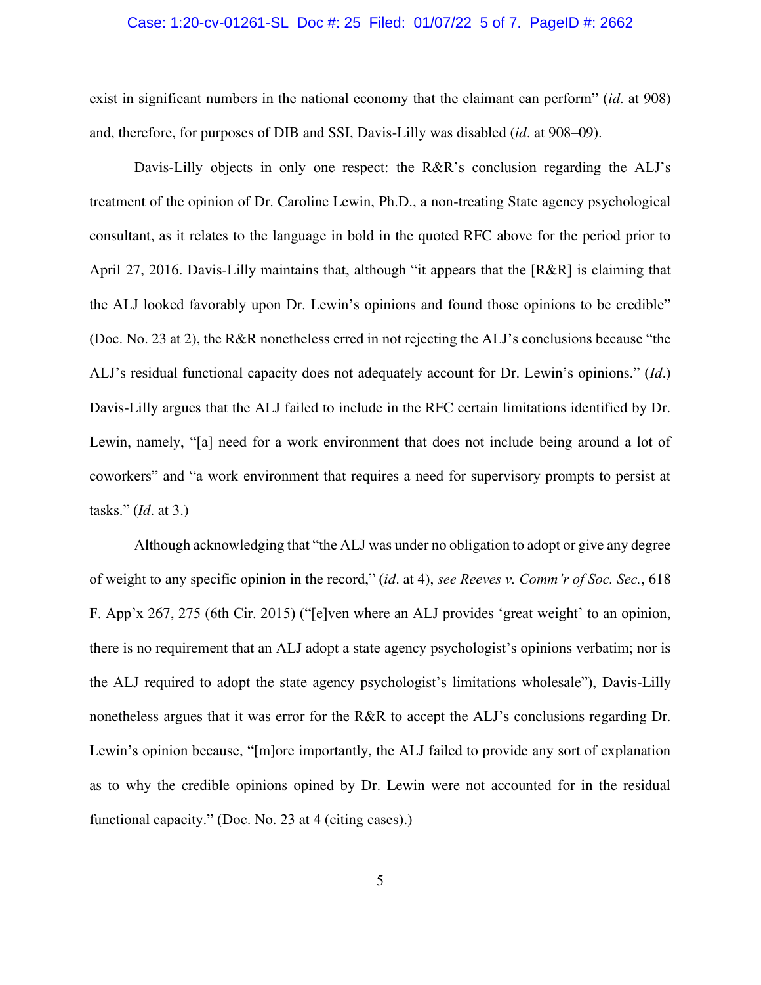#### Case: 1:20-cv-01261-SL Doc #: 25 Filed: 01/07/22 5 of 7. PageID #: 2662

exist in significant numbers in the national economy that the claimant can perform" (*id*. at 908) and, therefore, for purposes of DIB and SSI, Davis-Lilly was disabled (*id*. at 908–09).

Davis-Lilly objects in only one respect: the R&R's conclusion regarding the ALJ's treatment of the opinion of Dr. Caroline Lewin, Ph.D., a non-treating State agency psychological consultant, as it relates to the language in bold in the quoted RFC above for the period prior to April 27, 2016. Davis-Lilly maintains that, although "it appears that the [R&R] is claiming that the ALJ looked favorably upon Dr. Lewin's opinions and found those opinions to be credible" (Doc. No. 23 at 2), the R&R nonetheless erred in not rejecting the ALJ's conclusions because "the ALJ's residual functional capacity does not adequately account for Dr. Lewin's opinions." (*Id*.) Davis-Lilly argues that the ALJ failed to include in the RFC certain limitations identified by Dr. Lewin, namely, "[a] need for a work environment that does not include being around a lot of coworkers" and "a work environment that requires a need for supervisory prompts to persist at tasks." (*Id*. at 3.)

Although acknowledging that "the ALJ was under no obligation to adopt or give any degree of weight to any specific opinion in the record," (*id*. at 4), *see Reeves v. Comm'r of Soc. Sec.*, 618 F. App'x 267, 275 (6th Cir. 2015) ("[e]ven where an ALJ provides 'great weight' to an opinion, there is no requirement that an ALJ adopt a state agency psychologist's opinions verbatim; nor is the ALJ required to adopt the state agency psychologist's limitations wholesale"), Davis-Lilly nonetheless argues that it was error for the R&R to accept the ALJ's conclusions regarding Dr. Lewin's opinion because, "[m]ore importantly, the ALJ failed to provide any sort of explanation as to why the credible opinions opined by Dr. Lewin were not accounted for in the residual functional capacity." (Doc. No. 23 at 4 (citing cases).)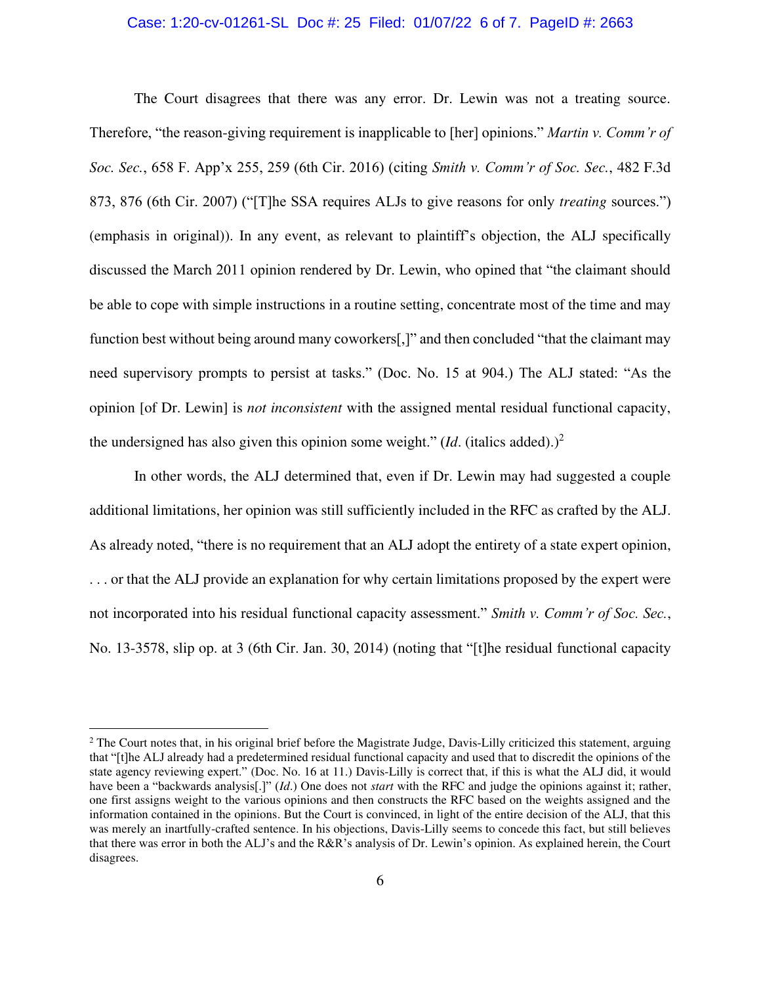#### Case: 1:20-cv-01261-SL Doc #: 25 Filed: 01/07/22 6 of 7. PageID #: 2663

The Court disagrees that there was any error. Dr. Lewin was not a treating source. Therefore, "the reason-giving requirement is inapplicable to [her] opinions." *Martin v. Comm'r of Soc. Sec.*, 658 F. App'x 255, 259 (6th Cir. 2016) (citing *Smith v. Comm'r of Soc. Sec.*, 482 F.3d 873, 876 (6th Cir. 2007) ("[T]he SSA requires ALJs to give reasons for only *treating* sources.") (emphasis in original)). In any event, as relevant to plaintiff's objection, the ALJ specifically discussed the March 2011 opinion rendered by Dr. Lewin, who opined that "the claimant should be able to cope with simple instructions in a routine setting, concentrate most of the time and may function best without being around many coworkers[,]" and then concluded "that the claimant may need supervisory prompts to persist at tasks." (Doc. No. 15 at 904.) The ALJ stated: "As the opinion [of Dr. Lewin] is *not inconsistent* with the assigned mental residual functional capacity, the undersigned has also given this opinion some weight."  $(Id.$  (italics added).)<sup>2</sup>

In other words, the ALJ determined that, even if Dr. Lewin may had suggested a couple additional limitations, her opinion was still sufficiently included in the RFC as crafted by the ALJ. As already noted, "there is no requirement that an ALJ adopt the entirety of a state expert opinion, . . . or that the ALJ provide an explanation for why certain limitations proposed by the expert were not incorporated into his residual functional capacity assessment." *Smith v. Comm'r of Soc. Sec.*, No. 13-3578, slip op. at 3 (6th Cir. Jan. 30, 2014) (noting that "[t]he residual functional capacity

 $2$  The Court notes that, in his original brief before the Magistrate Judge, Davis-Lilly criticized this statement, arguing that "[t]he ALJ already had a predetermined residual functional capacity and used that to discredit the opinions of the state agency reviewing expert." (Doc. No. 16 at 11.) Davis-Lilly is correct that, if this is what the ALJ did, it would have been a "backwards analysis<sup>[.]"</sup> (*Id*.) One does not *start* with the RFC and judge the opinions against it; rather, one first assigns weight to the various opinions and then constructs the RFC based on the weights assigned and the information contained in the opinions. But the Court is convinced, in light of the entire decision of the ALJ, that this was merely an inartfully-crafted sentence. In his objections, Davis-Lilly seems to concede this fact, but still believes that there was error in both the ALJ's and the R&R's analysis of Dr. Lewin's opinion. As explained herein, the Court disagrees.